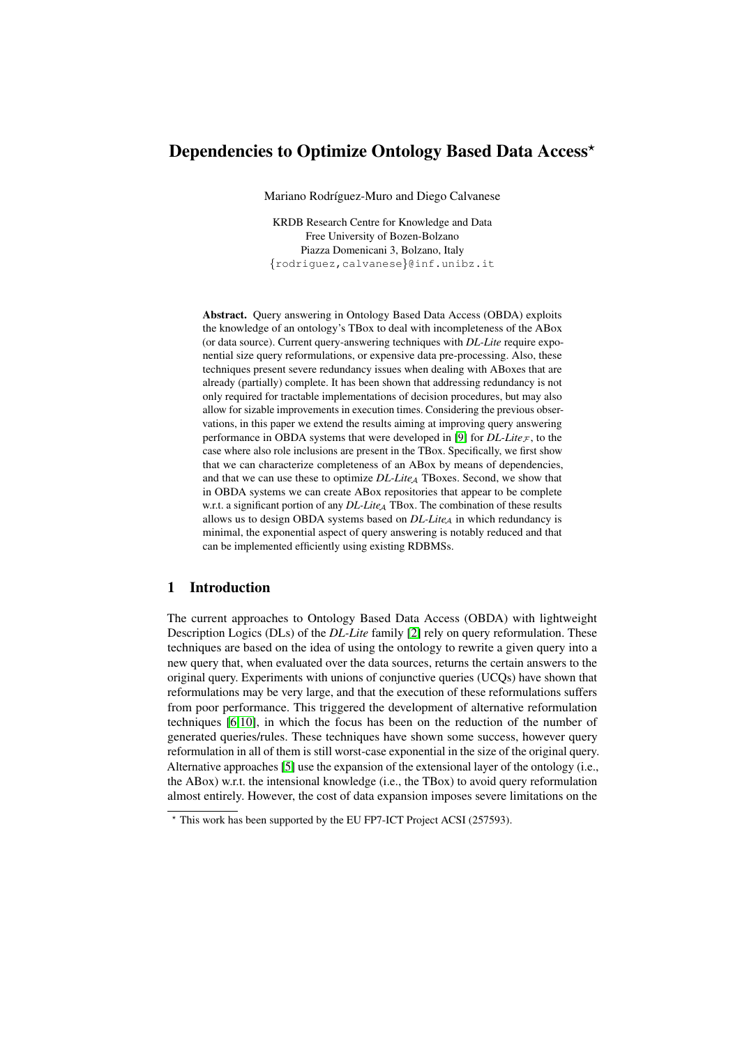# Dependencies to Optimize Ontology Based Data Access<sup>\*</sup>

Mariano Rodríguez-Muro and Diego Calvanese

KRDB Research Centre for Knowledge and Data Free University of Bozen-Bolzano Piazza Domenicani 3, Bolzano, Italy {rodriguez,calvanese}@inf.unibz.it

Abstract. Query answering in Ontology Based Data Access (OBDA) exploits the knowledge of an ontology's TBox to deal with incompleteness of the ABox (or data source). Current query-answering techniques with *DL-Lite* require exponential size query reformulations, or expensive data pre-processing. Also, these techniques present severe redundancy issues when dealing with ABoxes that are already (partially) complete. It has been shown that addressing redundancy is not only required for tractable implementations of decision procedures, but may also allow for sizable improvements in execution times. Considering the previous observations, in this paper we extend the results aiming at improving query answering performance in OBDA systems that were developed in [\[9\]](#page-10-0) for  $DL\text{-}Lie_{\mathcal{F}}$ , to the case where also role inclusions are present in the TBox. Specifically, we first show that we can characterize completeness of an ABox by means of dependencies, and that we can use these to optimize *DL-LiteA* TBoxes. Second, we show that in OBDA systems we can create ABox repositories that appear to be complete w.r.t. a significant portion of any *DL-Lite*<sub>A</sub> TBox. The combination of these results allows us to design OBDA systems based on  $DL\text{-}Life_A$  in which redundancy is minimal, the exponential aspect of query answering is notably reduced and that can be implemented efficiently using existing RDBMSs.

# 1 Introduction

The current approaches to Ontology Based Data Access (OBDA) with lightweight Description Logics (DLs) of the *DL-Lite* family [\[2\]](#page-10-1) rely on query reformulation. These techniques are based on the idea of using the ontology to rewrite a given query into a new query that, when evaluated over the data sources, returns the certain answers to the original query. Experiments with unions of conjunctive queries (UCQs) have shown that reformulations may be very large, and that the execution of these reformulations suffers from poor performance. This triggered the development of alternative reformulation techniques [\[6](#page-10-2)[,10\]](#page-10-3), in which the focus has been on the reduction of the number of generated queries/rules. These techniques have shown some success, however query reformulation in all of them is still worst-case exponential in the size of the original query. Alternative approaches [\[5\]](#page-10-4) use the expansion of the extensional layer of the ontology (i.e., the ABox) w.r.t. the intensional knowledge (i.e., the TBox) to avoid query reformulation almost entirely. However, the cost of data expansion imposes severe limitations on the

<sup>?</sup> This work has been supported by the EU FP7-ICT Project ACSI (257593).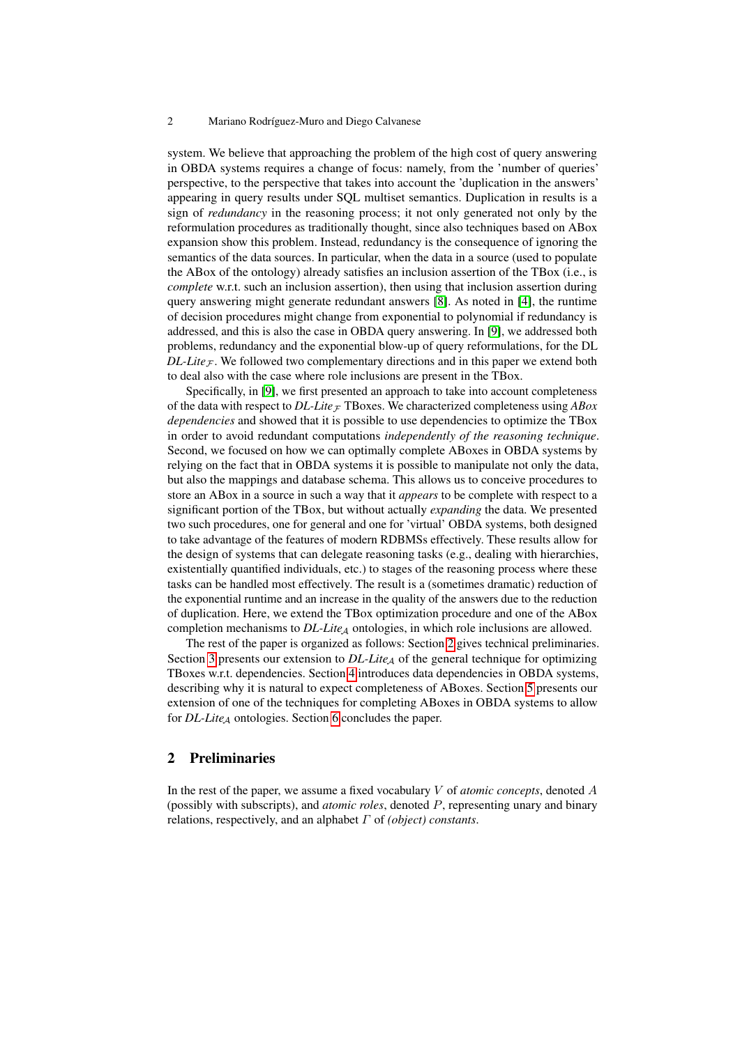#### 2 Mariano Rodríguez-Muro and Diego Calvanese

system. We believe that approaching the problem of the high cost of query answering in OBDA systems requires a change of focus: namely, from the 'number of queries' perspective, to the perspective that takes into account the 'duplication in the answers' appearing in query results under SQL multiset semantics. Duplication in results is a sign of *redundancy* in the reasoning process; it not only generated not only by the reformulation procedures as traditionally thought, since also techniques based on ABox expansion show this problem. Instead, redundancy is the consequence of ignoring the semantics of the data sources. In particular, when the data in a source (used to populate the ABox of the ontology) already satisfies an inclusion assertion of the TBox (i.e., is *complete* w.r.t. such an inclusion assertion), then using that inclusion assertion during query answering might generate redundant answers [\[8\]](#page-10-5). As noted in [\[4\]](#page-10-6), the runtime of decision procedures might change from exponential to polynomial if redundancy is addressed, and this is also the case in OBDA query answering. In [\[9\]](#page-10-0), we addressed both problems, redundancy and the exponential blow-up of query reformulations, for the DL *DL-Lite*<sub>F</sub>. We followed two complementary directions and in this paper we extend both to deal also with the case where role inclusions are present in the TBox.

Specifically, in [\[9\]](#page-10-0), we first presented an approach to take into account completeness of the data with respect to  $DL\text{-}Life \text{-}T$ Boxes. We characterized completeness using *ABox dependencies* and showed that it is possible to use dependencies to optimize the TBox in order to avoid redundant computations *independently of the reasoning technique*. Second, we focused on how we can optimally complete ABoxes in OBDA systems by relying on the fact that in OBDA systems it is possible to manipulate not only the data, but also the mappings and database schema. This allows us to conceive procedures to store an ABox in a source in such a way that it *appears* to be complete with respect to a significant portion of the TBox, but without actually *expanding* the data. We presented two such procedures, one for general and one for 'virtual' OBDA systems, both designed to take advantage of the features of modern RDBMSs effectively. These results allow for the design of systems that can delegate reasoning tasks (e.g., dealing with hierarchies, existentially quantified individuals, etc.) to stages of the reasoning process where these tasks can be handled most effectively. The result is a (sometimes dramatic) reduction of the exponential runtime and an increase in the quality of the answers due to the reduction of duplication. Here, we extend the TBox optimization procedure and one of the ABox completion mechanisms to *DL-Lite<sub>A</sub>* ontologies, in which role inclusions are allowed.

The rest of the paper is organized as follows: Section [2](#page-1-0) gives technical preliminaries. Section [3](#page-4-0) presents our extension to  $DL\text{-}Lie_A$  of the general technique for optimizing TBoxes w.r.t. dependencies. Section [4](#page-6-0) introduces data dependencies in OBDA systems, describing why it is natural to expect completeness of ABoxes. Section [5](#page-7-0) presents our extension of one of the techniques for completing ABoxes in OBDA systems to allow for *DL-Lite<sub>A</sub>* ontologies. Section [6](#page-9-0) concludes the paper.

#### <span id="page-1-0"></span>2 Preliminaries

In the rest of the paper, we assume a fixed vocabulary V of *atomic concepts*, denoted A (possibly with subscripts), and *atomic roles*, denoted P, representing unary and binary relations, respectively, and an alphabet Γ of *(object) constants*.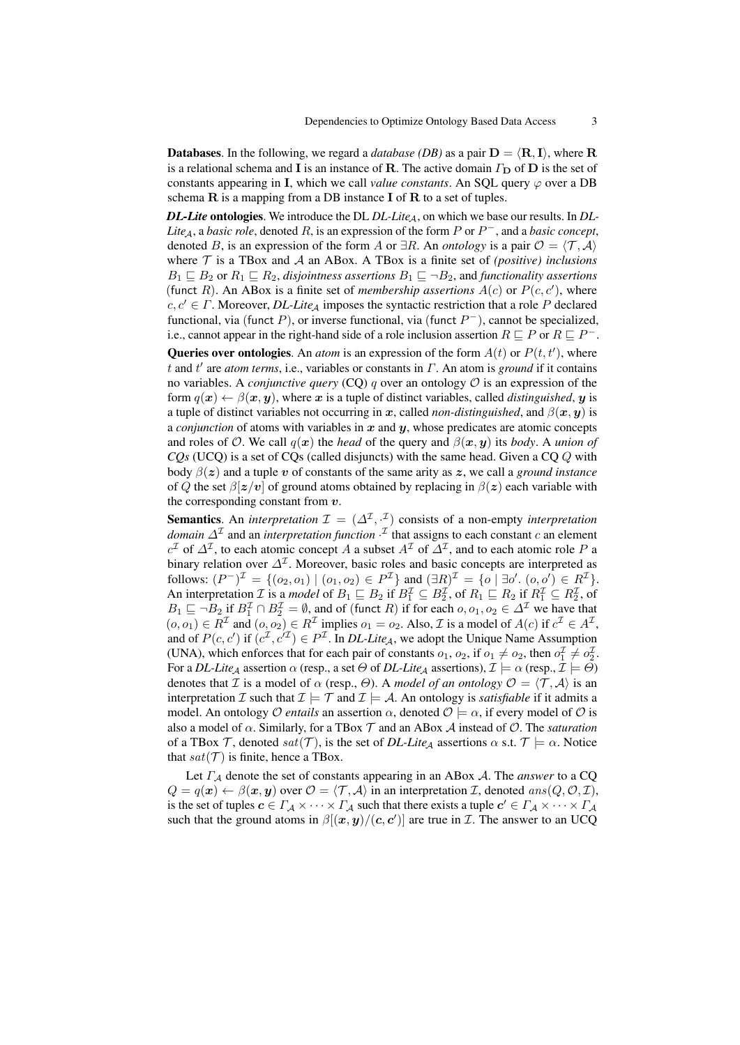**Databases.** In the following, we regard a *database (DB)* as a pair  $D = \langle R, I \rangle$ , where R is a relational schema and I is an instance of R. The active domain  $\Gamma_{\text{D}}$  of D is the set of constants appearing in I, which we call *value constants*. An SQL query  $\varphi$  over a DB schema  $\bf{R}$  is a mapping from a DB instance  $\bf{I}$  of  $\bf{R}$  to a set of tuples.

*DL-Lite* ontologies. We introduce the DL *DL-Lite<sub>A</sub>*, on which we base our results. In *DL*-*Lite*<sub>A</sub>, a *basic role*, denoted R, is an expression of the form P or  $P^-$ , and a *basic concept*, denoted B, is an expression of the form A or  $\exists R$ . An *ontology* is a pair  $\mathcal{O} = \langle \mathcal{T}, \mathcal{A} \rangle$ where  $\mathcal T$  is a TBox and  $\mathcal A$  an ABox. A TBox is a finite set of *(positive) inclusions*  $B_1 \sqsubseteq B_2$  or  $R_1 \sqsubseteq R_2$ , *disjointness assertions*  $B_1 \sqsubseteq \neg B_2$ , and *functionality assertions* (funct R). An ABox is a finite set of *membership assertions*  $A(c)$  or  $P(c, c')$ , where  $c, c' \in \Gamma$ . Moreover, *DL-Lite*<sub>A</sub> imposes the syntactic restriction that a role P declared functional, via (funct P), or inverse functional, via (funct  $P^-$ ), cannot be specialized, i.e., cannot appear in the right-hand side of a role inclusion assertion  $R \sqsubseteq P$  or  $R \sqsubseteq P^{\perp}$ .

**Queries over ontologies.** An *atom* is an expression of the form  $A(t)$  or  $P(t, t')$ , where t and t' are *atom terms*, i.e., variables or constants in Γ. An atom is *ground* if it contains no variables. A *conjunctive query* (CQ)  $q$  over an ontology  $\mathcal O$  is an expression of the form  $q(x) \leftarrow \beta(x, y)$ , where x is a tuple of distinct variables, called *distinguished*, y is a tuple of distinct variables not occurring in x, called *non-distinguished*, and  $\beta(x, y)$  is a *conjunction* of atoms with variables in  $x$  and  $y$ , whose predicates are atomic concepts and roles of  $\mathcal{O}$ . We call  $q(x)$  the *head* of the query and  $\beta(x, y)$  its *body*. A *union of CQs* (UCQ) is a set of CQs (called disjuncts) with the same head. Given a CQ Q with body  $\beta(z)$  and a tuple v of constants of the same arity as z, we call a *ground instance* of Q the set  $\beta |z/v|$  of ground atoms obtained by replacing in  $\beta(z)$  each variable with the corresponding constant from  $v$ .

**Semantics**. An *interpretation*  $\mathcal{I} = (\Delta^{\mathcal{I}}, \cdot^{\mathcal{I}})$  consists of a non-empty *interpretation domain*  $\Delta^{\mathcal{I}}$  and an *interpretation function*  $\cdot^{\mathcal{I}}$  that assigns to each constant c an element  $c^{\mathcal{I}}$  of  $\Delta^{\mathcal{I}}$ , to each atomic concept A a subset  $A^{\mathcal{I}}$  of  $\Delta^{\mathcal{I}}$ , and to each atomic role P a binary relation over  $\Delta^{\mathcal{I}}$ . Moreover, basic roles and basic concepts are interpreted as follows:  $(P^-)^{\mathcal{I}} = \{ (o_2, o_1) \mid (o_1, o_2) \in P^{\mathcal{I}} \}$  and  $(\exists R)^{\mathcal{I}} = \{ o \mid \exists o'. (o, o') \in R^{\mathcal{I}} \}.$ An interpretation *I* is a *model* of  $B_1 \sqsubseteq B_2$  if  $B_1^{\mathcal{I}} \subseteq B_2^{\mathcal{I}}$ , of  $R_1 \sqsubseteq R_2$  if  $R_1^{\mathcal{I}} \subseteq R_2^{\mathcal{I}}$ , of  $B_1 \sqsubseteq \neg B_2$  if  $B_1^{\mathcal{I}} \cap B_2^{\mathcal{I}} = \emptyset$ , and of (funct R) if for each  $o, o_1, o_2 \in \Delta^{\mathcal{I}}$  we have that  $(o, o_1) \in R^{\mathcal{I}}$  and  $(o, o_2) \in R^{\mathcal{I}}$  implies  $o_1 = o_2$ . Also,  $\mathcal{I}$  is a model of  $A(c)$  if  $c^{\mathcal{I}} \in A^{\mathcal{I}}$ , and of  $P(c, c')$  if  $(c^{\mathcal{I}}, c'^{\mathcal{I}}) \in P^{\mathcal{I}}$ . In *DL-Lite<sub>A</sub>*, we adopt the Unique Name Assumption (UNA), which enforces that for each pair of constants  $o_1$ ,  $o_2$ , if  $o_1 \neq o_2$ , then  $o_1^{\mathcal{I}} \neq o_2^{\mathcal{I}}$ . For a *DL-Lite*<sub>A</sub> assertion  $\alpha$  (resp., a set  $\Theta$  of *DL-Lite*<sub>A</sub> assertions),  $\mathcal{I} \models \alpha$  (resp.,  $\mathcal{I} \models \Theta$ ) denotes that *I* is a model of  $\alpha$  (resp.,  $\Theta$ ). A *model of an ontology*  $\mathcal{O} = \langle \mathcal{T}, \mathcal{A} \rangle$  is an interpretation  $\mathcal I$  such that  $\mathcal I \models \mathcal T$  and  $\mathcal I \models \mathcal A$ . An ontology is *satisfiable* if it admits a model. An ontology *O entails* an assertion  $\alpha$ , denoted  $\mathcal{O} \models \alpha$ , if every model of  $\mathcal O$  is also a model of  $\alpha$ . Similarly, for a TBox  $\mathcal T$  and an ABox  $\mathcal A$  instead of  $\mathcal O$ . The *saturation* of a TBox T, denoted  $sat(\mathcal{T})$ , is the set of *DL-Lite<sub>A</sub>* assertions  $\alpha$  s.t.  $\mathcal{T} \models \alpha$ . Notice that  $sat(\mathcal{T})$  is finite, hence a TBox.

Let  $\Gamma_A$  denote the set of constants appearing in an ABox  $A$ . The *answer* to a CQ  $Q = q(x) \leftarrow \beta(x, y)$  over  $\mathcal{O} = \langle \mathcal{T}, \mathcal{A} \rangle$  in an interpretation I, denoted ans $(Q, \mathcal{O}, \mathcal{I}),$ is the set of tuples  $c \in \Gamma_A \times \cdots \times \Gamma_A$  such that there exists a tuple  $c' \in \Gamma_A \times \cdots \times \Gamma_A$ such that the ground atoms in  $\beta[(x, y)/(c, c')]$  are true in *I*. The answer to an UCQ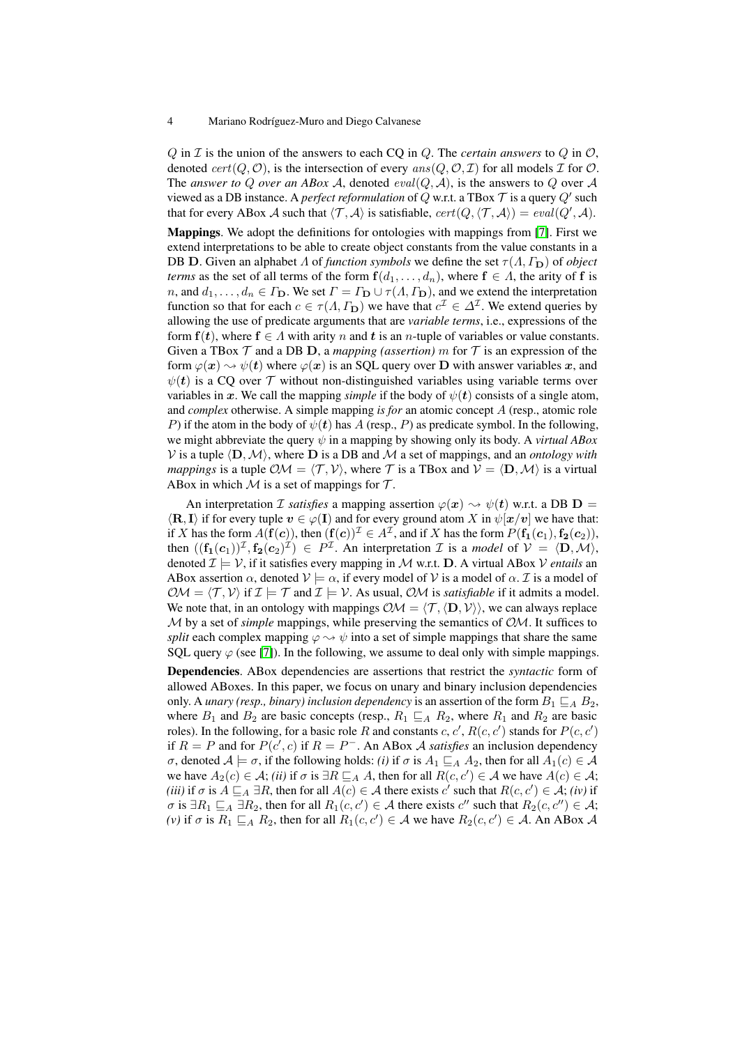#### 4 Mariano Rodríguez-Muro and Diego Calvanese

 $Q$  in  $\mathcal I$  is the union of the answers to each CQ in  $Q$ . The *certain answers* to  $Q$  in  $\mathcal O$ , denoted  $cert(Q, O)$ , is the intersection of every  $ans(Q, O, \mathcal{I})$  for all models  $\mathcal I$  for  $O$ . The *answer to Q over an ABox A*, denoted  $eval(Q, A)$ , is the answers to Q over A viewed as a DB instance. A *perfect reformulation* of Q w.r.t. a TBox  $\mathcal T$  is a query  $Q'$  such that for every ABox A such that  $\langle \mathcal{T}, \mathcal{A} \rangle$  is satisfiable,  $cert(Q, \langle \mathcal{T}, \mathcal{A} \rangle) = eval(Q', \mathcal{A})$ .

Mappings. We adopt the definitions for ontologies with mappings from [\[7\]](#page-10-7). First we extend interpretations to be able to create object constants from the value constants in a DB D. Given an alphabet  $\Lambda$  of *function symbols* we define the set  $\tau(\Lambda, \Gamma_{\mathbf{D}})$  of *object terms* as the set of all terms of the form  $f(d_1, \ldots, d_n)$ , where  $f \in \Lambda$ , the arity of f is n, and  $d_1, \ldots, d_n \in \Gamma_{\mathbf{D}}$ . We set  $\Gamma = \Gamma_{\mathbf{D}} \cup \tau(\Lambda, \Gamma_{\mathbf{D}})$ , and we extend the interpretation function so that for each  $c \in \tau(A, \Gamma_{D})$  we have that  $c^{\mathcal{I}} \in \Delta^{\mathcal{I}}$ . We extend queries by allowing the use of predicate arguments that are *variable terms*, i.e., expressions of the form  $f(t)$ , where  $f \in \Lambda$  with arity n and t is an n-tuple of variables or value constants. Given a TBox  $\mathcal T$  and a DB D, a *mapping (assertion)* m for  $\mathcal T$  is an expression of the form  $\varphi(\bm{x}) \leadsto \psi(\bm{t})$  where  $\varphi(\bm{x})$  is an SOL query over D with answer variables x, and  $\psi(t)$  is a CQ over  $\mathcal T$  without non-distinguished variables using variable terms over variables in x. We call the mapping *simple* if the body of  $\psi(t)$  consists of a single atom, and *complex* otherwise. A simple mapping *is for* an atomic concept A (resp., atomic role P) if the atom in the body of  $\psi(t)$  has A (resp., P) as predicate symbol. In the following, we might abbreviate the query  $\psi$  in a mapping by showing only its body. A *virtual ABox* V is a tuple  $\langle \mathbf{D},\mathcal{M}\rangle$ , where **D** is a DB and M a set of mappings, and an *ontology with mappings* is a tuple  $\mathcal{OM} = \langle T, V \rangle$ , where T is a TBox and  $V = \langle D, \mathcal{M} \rangle$  is a virtual ABox in which  $M$  is a set of mappings for  $T$ .

An interpretation *I satisfies* a mapping assertion  $\varphi(x) \rightarrow \psi(t)$  w.r.t. a DB **D** =  $\langle \mathbf{R}, \mathbf{I} \rangle$  if for every tuple  $v \in \varphi(\mathbf{I})$  and for every ground atom X in  $\psi[\mathbf{x}/v]$  we have that: if X has the form  $A(f(c))$ , then  $(f(c))^{\mathcal{I}} \in A^{\mathcal{I}}$ , and if X has the form  $P(f_1(c_1), f_2(c_2))$ , then  $((f_1(c_1))^{\mathcal{I}}, f_2(c_2)^{\mathcal{I}}) \in P^{\mathcal{I}}$ . An interpretation  $\mathcal{I}$  is a *model* of  $\mathcal{V} = \langle D, \mathcal{M} \rangle$ , denoted  $\mathcal{I} \models \mathcal{V}$ , if it satisfies every mapping in M w.r.t. **D**. A virtual ABox V *entails* an ABox assertion  $\alpha$ , denoted  $\mathcal{V} \models \alpha$ , if every model of  $\mathcal{V}$  is a model of  $\alpha$ . *T* is a model of  $\mathcal{OM} = \langle T, V \rangle$  if  $\mathcal{I} \models \mathcal{T}$  and  $\mathcal{I} \models V$ . As usual,  $\mathcal{OM}$  is *satisfiable* if it admits a model. We note that, in an ontology with mappings  $\mathcal{OM} = \langle \mathcal{T}, \langle \mathbf{D}, \mathcal{V} \rangle$ , we can always replace M by a set of *simple* mappings, while preserving the semantics of OM. It suffices to *split* each complex mapping  $\varphi \rightarrow \psi$  into a set of simple mappings that share the same SQL query  $\varphi$  (see [\[7\]](#page-10-7)). In the following, we assume to deal only with simple mappings.

Dependencies. ABox dependencies are assertions that restrict the *syntactic* form of allowed ABoxes. In this paper, we focus on unary and binary inclusion dependencies only. A *unary (resp., binary) inclusion dependency* is an assertion of the form  $B_1 \sqsubseteq_A B_2$ , where  $B_1$  and  $B_2$  are basic concepts (resp.,  $R_1 \sqsubseteq_A R_2$ , where  $R_1$  and  $R_2$  are basic roles). In the following, for a basic role R and constants c,  $c'$ ,  $R(c, c')$  stands for  $P(c, c')$ if  $R = P$  and for  $P(c', c)$  if  $R = P<sup>-</sup>$ . An ABox A *satisfies* an inclusion dependency *σ*, denoted  $A \models \sigma$ , if the following holds: *(i)* if *σ* is  $A_1 \sqsubseteq_A A_2$ , then for all  $A_1(c) \in A$ we have  $A_2(c) \in \mathcal{A}$ ; *(ii)* if  $\sigma$  is  $\exists R \sqsubseteq_A A$ , then for all  $R(c, c') \in \mathcal{A}$  we have  $A(c) \in \mathcal{A}$ ; (*iii*) if  $\sigma$  is  $A \sqsubseteq_A \exists R$ , then for all  $A(c) \in \mathcal{A}$  there exists c' such that  $R(c, c') \in \mathcal{A}$ ; *(iv)* if  $\sigma$  is  $\exists R_1 \sqsubseteq_A \exists R_2$ , then for all  $R_1(c, c') \in \mathcal{A}$  there exists  $c''$  such that  $R_2(c, c'') \in \mathcal{A}$ ; *(v)* if  $\sigma$  is  $R_1 \sqsubseteq_A R_2$ , then for all  $R_1(c, c') \in A$  we have  $R_2(c, c') \in A$ . An ABox A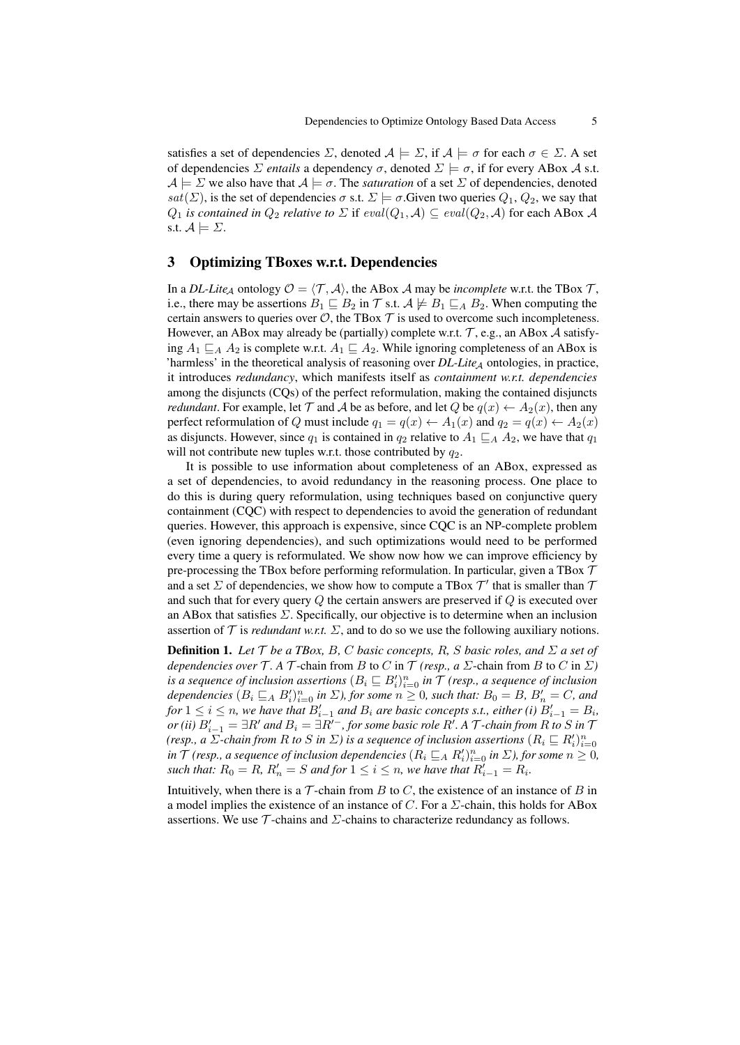satisfies a set of dependencies  $\Sigma$ , denoted  $A \models \Sigma$ , if  $A \models \sigma$  for each  $\sigma \in \Sigma$ . A set of dependencies  $\Sigma$  *entails* a dependency  $\sigma$ , denoted  $\Sigma \models \sigma$ , if for every ABox A s.t.  $A \models \Sigma$  we also have that  $A \models \sigma$ . The *saturation* of a set  $\Sigma$  of dependencies, denoted sat( $\Sigma$ ), is the set of dependencies  $\sigma$  s.t.  $\Sigma \models \sigma$ . Given two queries  $Q_1, Q_2$ , we say that  $Q_1$  *is contained in*  $Q_2$  *relative to*  $\Sigma$  if  $eval(Q_1, A) \subseteq eval(Q_2, A)$  for each ABox A s.t.  $\mathcal{A} \models \Sigma$ .

#### <span id="page-4-0"></span>3 Optimizing TBoxes w.r.t. Dependencies

In a *DL-Lite<sub>A</sub>* ontology  $\mathcal{O} = \langle \mathcal{T}, \mathcal{A} \rangle$ , the ABox A may be *incomplete* w.r.t. the TBox  $\mathcal{T}$ , i.e., there may be assertions  $B_1 \sqsubseteq B_2$  in T s.t.  $A \not\models B_1 \sqsubseteq_A B_2$ . When computing the certain answers to queries over  $\mathcal{O}$ , the TBox  $\mathcal T$  is used to overcome such incompleteness. However, an ABox may already be (partially) complete w.r.t.  $\mathcal{T}$ , e.g., an ABox  $\mathcal{A}$  satisfying  $A_1 \sqsubset_A A_2$  is complete w.r.t.  $A_1 \sqsubset A_2$ . While ignoring completeness of an ABox is 'harmless' in the theoretical analysis of reasoning over  $DL\text{-}Life_A$  ontologies, in practice, it introduces *redundancy*, which manifests itself as *containment w.r.t. dependencies* among the disjuncts (CQs) of the perfect reformulation, making the contained disjuncts *redundant*. For example, let  $\mathcal T$  and  $\mathcal A$  be as before, and let  $Q$  be  $q(x) \leftarrow A_2(x)$ , then any perfect reformulation of Q must include  $q_1 = q(x) \leftarrow A_1(x)$  and  $q_2 = q(x) \leftarrow A_2(x)$ as disjuncts. However, since  $q_1$  is contained in  $q_2$  relative to  $A_1 \sqsubseteq_A A_2$ , we have that  $q_1$ will not contribute new tuples w.r.t. those contributed by  $q_2$ .

It is possible to use information about completeness of an ABox, expressed as a set of dependencies, to avoid redundancy in the reasoning process. One place to do this is during query reformulation, using techniques based on conjunctive query containment (CQC) with respect to dependencies to avoid the generation of redundant queries. However, this approach is expensive, since CQC is an NP-complete problem (even ignoring dependencies), and such optimizations would need to be performed every time a query is reformulated. We show now how we can improve efficiency by pre-processing the TBox before performing reformulation. In particular, given a TBox  $\mathcal T$ and a set  $\Sigma$  of dependencies, we show how to compute a TBox  $\mathcal{T}'$  that is smaller than  $\mathcal T$ and such that for every query  $Q$  the certain answers are preserved if  $Q$  is executed over an ABox that satisfies  $\Sigma$ . Specifically, our objective is to determine when an inclusion assertion of  $\mathcal T$  is *redundant w.r.t.*  $\Sigma$ , and to do so we use the following auxiliary notions.

**Definition 1.** Let  $\mathcal T$  be a TBox, B, C basic concepts, R, S basic roles, and  $\Sigma$  a set of *dependencies over*  $\mathcal T$ *.* A  $\mathcal T$ -chain from B to C in  $\mathcal T$  *(resp., a*  $\Sigma$ -chain from B to C in  $\Sigma$ *)* is a sequence of inclusion assertions  $(B_i \sqsubseteq B_i')_{i=0}^n$  in  $\mathcal T$  (resp., a sequence of inclusion *dependencies*  $(B_i \sqsubseteq_A B_i')_{i=0}^n$  in  $\Sigma$ ), for some  $n \geq 0$ , such that:  $B_0 = B$ ,  $B'_n = C$ , and *for*  $1 \leq i \leq n$ , we have that  $B'_{i-1}$  and  $B_i$  are basic concepts s.t., either (i)  $B'_{i-1} = B_i$ ,  $\rho$ r (ii)  $B'_{i-1} = \exists R'$  and  $B_i = \exists R'^-$  , for some basic role  $R'.$  A  ${\cal T}$ -chain from  $R$  to  $S$  in  ${\cal T}$ *(resp., a*  $\Sigma$ *-chain from R to S in*  $\Sigma$ *) is a sequence of inclusion assertions*  $(R_i \sqsubseteq R'_i)_{i=0}^n$  $i$ n  $\mathcal T$  *(resp., a sequence of inclusion dependencies*  $(R_i \sqsubseteq_A R_i')_{i=0}^n$  *in*  $\Sigma$ *), for some*  $n \geq 0$ *, such that:*  $R_0 = R$ ,  $R'_n = S$  *and for*  $1 \leq i \leq n$ , we have that  $R'_{i-1} = R_i$ .

<span id="page-4-1"></span>Intuitively, when there is a  $\mathcal T$ -chain from B to C, the existence of an instance of B in a model implies the existence of an instance of C. For a  $\Sigma$ -chain, this holds for ABox assertions. We use  $\mathcal T$ -chains and  $\Sigma$ -chains to characterize redundancy as follows.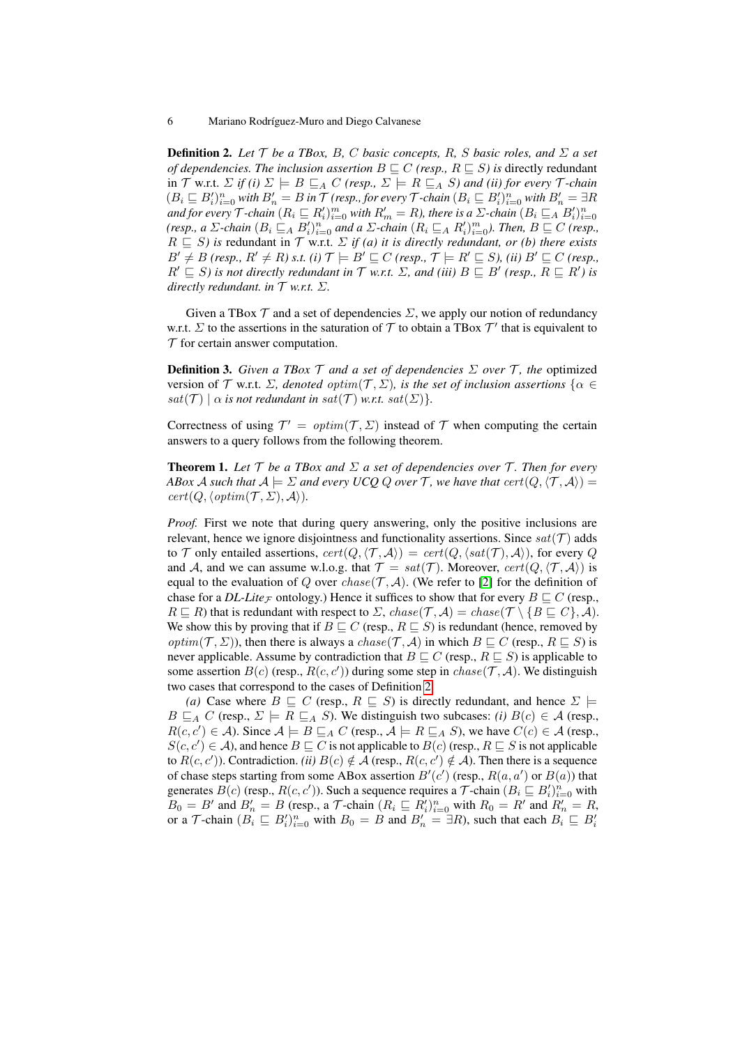**Definition 2.** Let  $\mathcal{T}$  be a TBox, B, C basic concepts, R, S basic roles, and  $\Sigma$  a set *of dependencies. The inclusion assertion*  $B \sqsubseteq C$  *(resp.,*  $R \sqsubseteq S$ *) is directly redundant* in  $\mathcal T$  w.r.t.  $\Sigma$  *if (i)*  $\Sigma \models B \sqsubseteq_A C$  *(resp.,*  $\Sigma \models R \sqsubseteq_A S$ *) and (ii) for every*  $\mathcal T$ *-chain*  $(B_i \sqsubseteq B_i')_{i=0}^n$  with  $B_n' = B$  in  $\mathcal T$  (resp., for every  $\mathcal T$ -chain  $(B_i \sqsubseteq B_i')_{i=0}^n$  with  $B_n' = \exists R$ and for every  $\mathcal{T}$ -chain  $(R_i \sqsubseteq R_i')_{i=0}^m$  with  $R_m' = R$ ), there is a  $\Sigma$ -chain  $(B_i \sqsubseteq_A B_i')_{i=0}^n$ *(resp., a*  $\Sigma$ -chain  $(B_i \sqsubseteq_A B_i')_{i=0}^n$  and a  $\Sigma$ -chain  $(R_i \sqsubseteq_A R_i')_{i=0}^m$ ). Then,  $B \sqsubseteq C$  *(resp.,*  $R \subseteq S$ ) is redundant in  $\mathcal T$  w.r.t.  $\Sigma$  *if (a) it is directly redundant, or (b) there exists*  $B' \neq B$  *(resp.,*  $R' \neq R$ *)* s.t. *(i)*  $\mathcal{T} \models B' \sqsubseteq C$  *(resp.,*  $\mathcal{T} \models R' \sqsubseteq S$ *), (ii)*  $B' \sqsubseteq C$  *(resp.,*  $R' \sqsubseteq S$ ) is not directly redundant in  $\mathcal T$  w.r.t.  $\Sigma$ , and (iii)  $B \sqsubseteq B'$  (resp.,  $R \sqsubseteq R'$ ) is *directly redundant. in*  $T$  *w.r.t.*  $\Sigma$ *.* 

<span id="page-5-0"></span>Given a TBox  $\mathcal T$  and a set of dependencies  $\Sigma$ , we apply our notion of redundancy w.r.t.  $\Sigma$  to the assertions in the saturation of  $\mathcal T$  to obtain a TBox  $\mathcal T'$  that is equivalent to  $\mathcal T$  for certain answer computation.

**Definition 3.** *Given a TBox*  $\mathcal T$  *and a set of dependencies*  $\Sigma$  *over*  $\mathcal T$ *, the* optimized version of  $\mathcal T$  w.r.t.  $\Sigma$ *, denoted optim* $(\mathcal T, \Sigma)$ *, is the set of inclusion assertions*  $\{\alpha \in \mathcal T\}$  $sat(\mathcal{T}) \mid \alpha$  *is not redundant in sat* $(\mathcal{T})$  *w.r.t.* sat $(\Sigma)$ *}.* 

Correctness of using  $\mathcal{T}' = \text{optim}(\mathcal{T}, \Sigma)$  instead of  $\mathcal T$  when computing the certain answers to a query follows from the following theorem.

**Theorem 1.** Let  $\mathcal T$  *be a TBox and*  $\Sigma$  *a set of dependencies over*  $\mathcal T$ *. Then for every ABox A such that*  $A \models \Sigma$  *and every UCQ Q over* T, we have that  $cert(Q, \langle T, A \rangle) =$  $cert(Q, \langle optim(\mathcal{T}, \Sigma), \mathcal{A}\rangle).$ 

*Proof.* First we note that during query answering, only the positive inclusions are relevant, hence we ignore disjointness and functionality assertions. Since  $sat(\mathcal{T})$  adds to T only entailed assertions,  $cert(Q, \langle T, A \rangle) = cert(Q, \langle sat(T), A \rangle)$ , for every Q and A, and we can assume w.l.o.g. that  $\mathcal{T} = sat(\mathcal{T})$ . Moreover,  $cert(Q, \langle \mathcal{T}, \mathcal{A} \rangle)$  is equal to the evaluation of Q over  $chase(\mathcal{T}, \mathcal{A})$ . (We refer to [\[2\]](#page-10-1) for the definition of chase for a *DL-Lite*<sub>F</sub> ontology.) Hence it suffices to show that for every  $B \sqsubset C$  (resp.,  $R \sqsubseteq R$ ) that is redundant with respect to  $\Sigma$ , chase( $\mathcal{T}, \mathcal{A}$ ) = chase( $\mathcal{T} \setminus \{B \sqsubseteq C\}, \mathcal{A}$ ). We show this by proving that if  $B \sqsubseteq C$  (resp.,  $R \sqsubseteq S$ ) is redundant (hence, removed by *optim*( $\mathcal{T}, \Sigma$ )), then there is always a *chase*( $\mathcal{T}, \mathcal{A}$ ) in which  $B \sqsubseteq C$  (resp.,  $R \sqsubseteq S$ ) is never applicable. Assume by contradiction that  $B \sqsubseteq C$  (resp.,  $R \sqsubseteq S$ ) is applicable to some assertion  $B(c)$  (resp.,  $R(c, c')$ ) during some step in  $chase(\mathcal{T}, \mathcal{A})$ . We distinguish two cases that correspond to the cases of Definition [2.](#page-4-1)

*(a)* Case where  $B \subseteq C$  (resp.,  $R \subseteq S$ ) is directly redundant, and hence  $\Sigma \models$  $B \sqsubseteq_A C$  (resp.,  $\Sigma \models R \sqsubseteq_A S$ ). We distinguish two subcases: *(i)*  $B(c) \in \mathcal{A}$  (resp.,  $R(c, c') \in \mathcal{A}$ ). Since  $\mathcal{A} \models B \sqsubseteq_A C$  (resp.,  $\mathcal{A} \models R \sqsubseteq_A S$ ), we have  $C(c) \in \mathcal{A}$  (resp.,  $S(c, c') \in \mathcal{A}$ ), and hence  $B \sqsubseteq C$  is not applicable to  $B(c)$  (resp.,  $R \sqsubseteq S$  is not applicable to  $R(c, c')$ ). Contradiction. *(ii)*  $B(c) \notin \mathcal{A}$  (resp.,  $R(c, c') \notin \mathcal{A}$ ). Then there is a sequence of chase steps starting from some ABox assertion  $B'(c')$  (resp.,  $R(a, a')$  or  $B(a)$ ) that generates  $B(c)$  (resp.,  $R(c, c')$ ). Such a sequence requires a  $\mathcal{T}$ -chain  $(B_i \sqsubseteq B_i')_{i=0}^n$  with  $B_0 = B'$  and  $B'_n = B$  (resp., a T-chain  $(R_i \sqsubseteq R'_i)_{i=0}^n$  with  $R_0 = R'$  and  $R'_n = R$ , or a *T*-chain  $(B_i \sqsubseteq B_i')_{i=0}^n$  with  $B_0 = B$  and  $B_n' = \exists R$ , such that each  $B_i \sqsubseteq B_i'$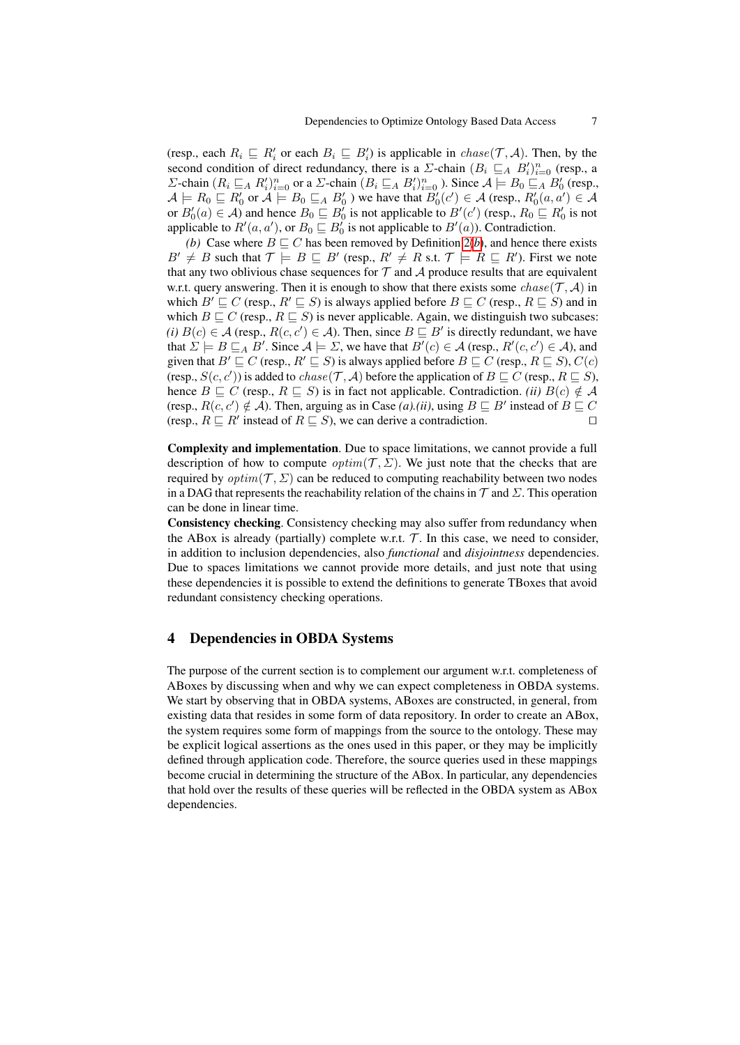(resp., each  $R_i \subseteq R'_i$  or each  $B_i \subseteq B'_i$ ) is applicable in  $chase(\mathcal{T}, \mathcal{A})$ . Then, by the second condition of direct redundancy, there is a  $\Sigma$ -chain  $(B_i \sqsubseteq_A B_i')_{i=0}^n$  (resp., a Σ-chain  $(R_i ⊆ A R'_i)_{i=0}^n$  or a Σ-chain  $(B_i ⊆ A B'_i)_{i=0}^n$  ). Since  $A \models B_0 ⊆ A B'_0$  (resp.,  $\mathcal{A} \models R_0 \sqsubseteq R'_0$  or  $\mathcal{A} \models B_0 \sqsubseteq_A B'_0$  ) we have that  $B'_0(c') \in \mathcal{A}$  (resp.,  $R'_0(a, a') \in \mathcal{A}$ or  $B'_0(a) \in \mathcal{A}$ ) and hence  $B_0 \sqsubseteq B'_0$  is not applicable to  $B'(c')$  (resp.,  $R_0 \sqsubseteq R'_0$  is not applicable to  $R'(a, a')$ , or  $B_0 \sqsubseteq B'_0$  is not applicable to  $B'(a)$ ). Contradiction.

*([b](#page-5-0))* Case where  $B \sqsubseteq C$  has been removed by Definition 2*(b)*, and hence there exists  $B' \neq B$  such that  $\mathcal{T} \models B \sqsubseteq B'$  (resp.,  $R' \neq R$  s.t.  $\mathcal{T} \models R \sqsubseteq R'$ ). First we note that any two oblivious chase sequences for  $\mathcal T$  and  $\mathcal A$  produce results that are equivalent w.r.t. query answering. Then it is enough to show that there exists some  $chase(\mathcal{T}, \mathcal{A})$  in which  $B' \sqsubseteq C$  (resp.,  $R' \sqsubseteq S$ ) is always applied before  $B \sqsubseteq C$  (resp.,  $R \sqsubseteq S$ ) and in which  $B \sqsubseteq C$  (resp.,  $R \sqsubseteq S$ ) is never applicable. Again, we distinguish two subcases: *(i)*  $B(c) \in A$  (resp.,  $R(c, c') \in A$ ). Then, since  $B \sqsubseteq B'$  is directly redundant, we have that  $\Sigma \models B \sqsubseteq_A B'$ . Since  $\mathcal{A} \models \Sigma$ , we have that  $B'(c) \in \mathcal{A}$  (resp.,  $R'(c, c') \in \mathcal{A}$ ), and given that  $B' \sqsubseteq C$  (resp.,  $R' \sqsubseteq S$ ) is always applied before  $B \sqsubseteq C$  (resp.,  $R \sqsubseteq S$ ),  $C(c)$ (resp.,  $S(c, c')$ ) is added to  $chase(\mathcal{T}, \mathcal{A})$  before the application of  $B \sqsubseteq C$  (resp.,  $R \sqsubseteq S$ ), hence  $B \sqsubseteq C$  (resp.,  $R \sqsubseteq S$ ) is in fact not applicable. Contradiction. *(ii)*  $B(c) \notin A$ (resp.,  $R(c, c') \notin A$ ). Then, arguing as in Case *(a).(ii)*, using  $B \sqsubseteq B'$  instead of  $B \sqsubseteq C$ (resp.,  $R \sqsubseteq R'$  instead of  $R \sqsubseteq S$ ), we can derive a contradiction.

Complexity and implementation. Due to space limitations, we cannot provide a full description of how to compute *optim*( $T$ ,  $\Sigma$ ). We just note that the checks that are required by  $optim(\mathcal{T}, \Sigma)$  can be reduced to computing reachability between two nodes in a DAG that represents the reachability relation of the chains in  $\mathcal T$  and  $\Sigma$ . This operation can be done in linear time.

Consistency checking. Consistency checking may also suffer from redundancy when the ABox is already (partially) complete w.r.t.  $\mathcal{T}$ . In this case, we need to consider, in addition to inclusion dependencies, also *functional* and *disjointness* dependencies. Due to spaces limitations we cannot provide more details, and just note that using these dependencies it is possible to extend the definitions to generate TBoxes that avoid redundant consistency checking operations.

### <span id="page-6-0"></span>4 Dependencies in OBDA Systems

<span id="page-6-1"></span>The purpose of the current section is to complement our argument w.r.t. completeness of ABoxes by discussing when and why we can expect completeness in OBDA systems. We start by observing that in OBDA systems, ABoxes are constructed, in general, from existing data that resides in some form of data repository. In order to create an ABox, the system requires some form of mappings from the source to the ontology. These may be explicit logical assertions as the ones used in this paper, or they may be implicitly defined through application code. Therefore, the source queries used in these mappings become crucial in determining the structure of the ABox. In particular, any dependencies that hold over the results of these queries will be reflected in the OBDA system as ABox dependencies.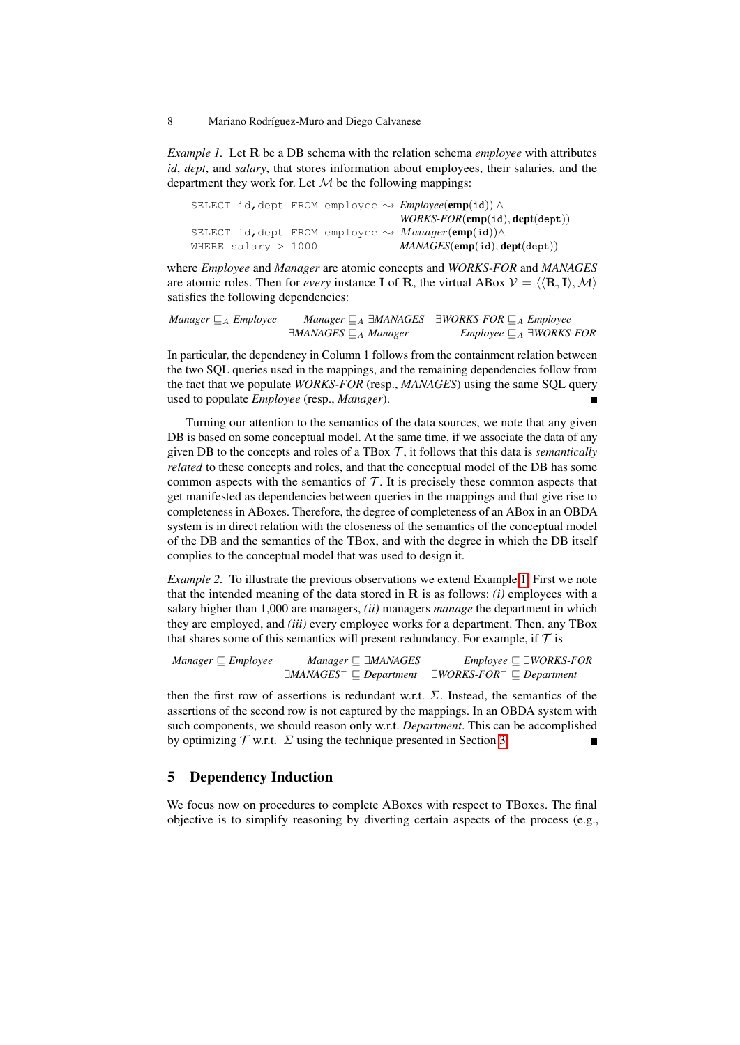*Example 1.* Let R be a DB schema with the relation schema *employee* with attributes *id*, *dept*, and *salary*, that stores information about employees, their salaries, and the department they work for. Let  $M$  be the following mappings:

|                       |  | SELECT id, dept FROM employee $\rightsquigarrow \textit{Employee}(\textbf{emp}(id)) \wedge$ |
|-----------------------|--|---------------------------------------------------------------------------------------------|
|                       |  | $WORS\text{-}FOR(\text{emp}(\texttt{id}), \text{dept}(\texttt{dept}))$                      |
|                       |  | SELECT id, dept FROM employee $\rightsquigarrow$ $Manager(\text{emp(id)}) \wedge$           |
| WHERE salary $> 1000$ |  | MANAGES(emp(id), dept(dept))                                                                |

where *Employee* and *Manager* are atomic concepts and *WORKS-FOR* and *MANAGES* are atomic roles. Then for *every* instance **I** of **R**, the virtual ABox  $V = \langle \langle \mathbf{R}, \mathbf{I} \rangle, \mathcal{M} \rangle$ satisfies the following dependencies:

```
Manager \sqsubseteq_A Employee Manager \sqsubseteq_A \exists MANAGES \exists WORKS-FOR \sqsubseteq_A Employee
                 ∃MANAGES \sqsubseteq_A Manager Employee \sqsubseteq_A ∃WORKS-FOR
```
In particular, the dependency in Column 1 follows from the containment relation between the two SQL queries used in the mappings, and the remaining dependencies follow from the fact that we populate *WORKS-FOR* (resp., *MANAGES*) using the same SQL query used to populate *Employee* (resp., *Manager*).  $\blacksquare$ 

Turning our attention to the semantics of the data sources, we note that any given DB is based on some conceptual model. At the same time, if we associate the data of any given DB to the concepts and roles of a TBox  $\mathcal T$ , it follows that this data is *semantically related* to these concepts and roles, and that the conceptual model of the DB has some common aspects with the semantics of  $T$ . It is precisely these common aspects that get manifested as dependencies between queries in the mappings and that give rise to completeness in ABoxes. Therefore, the degree of completeness of an ABox in an OBDA system is in direct relation with the closeness of the semantics of the conceptual model of the DB and the semantics of the TBox, and with the degree in which the DB itself complies to the conceptual model that was used to design it.

*Example 2.* To illustrate the previous observations we extend Example [1.](#page-6-1) First we note that the intended meaning of the data stored in  $\bf{R}$  is as follows: *(i)* employees with a salary higher than 1,000 are managers, *(ii)* managers *manage* the department in which they are employed, and *(iii)* every employee works for a department. Then, any TBox that shares some of this semantics will present redundancy. For example, if  $\mathcal T$  is

| $Manager \sqsubseteq Employee$ | $Manager \sqsubseteq \exists MANAGES$                 | <i>Employee</i> $\sqsubseteq$ $\exists$ <i>WORKS-FOR</i> |
|--------------------------------|-------------------------------------------------------|----------------------------------------------------------|
|                                | $\exists$ MANAGES <sup>-</sup> $\sqsubset$ Department | $\exists WORS\text{-}FOR \sqsubseteq Department$         |

then the first row of assertions is redundant w.r.t.  $\Sigma$ . Instead, the semantics of the assertions of the second row is not captured by the mappings. In an OBDA system with such components, we should reason only w.r.t. *Department*. This can be accomplished by optimizing  $\mathcal T$  w.r.t.  $\Sigma$  using the technique presented in Section [3.](#page-4-0)  $\blacksquare$ 

### <span id="page-7-0"></span>5 Dependency Induction

We focus now on procedures to complete ABoxes with respect to TBoxes. The final objective is to simplify reasoning by diverting certain aspects of the process (e.g.,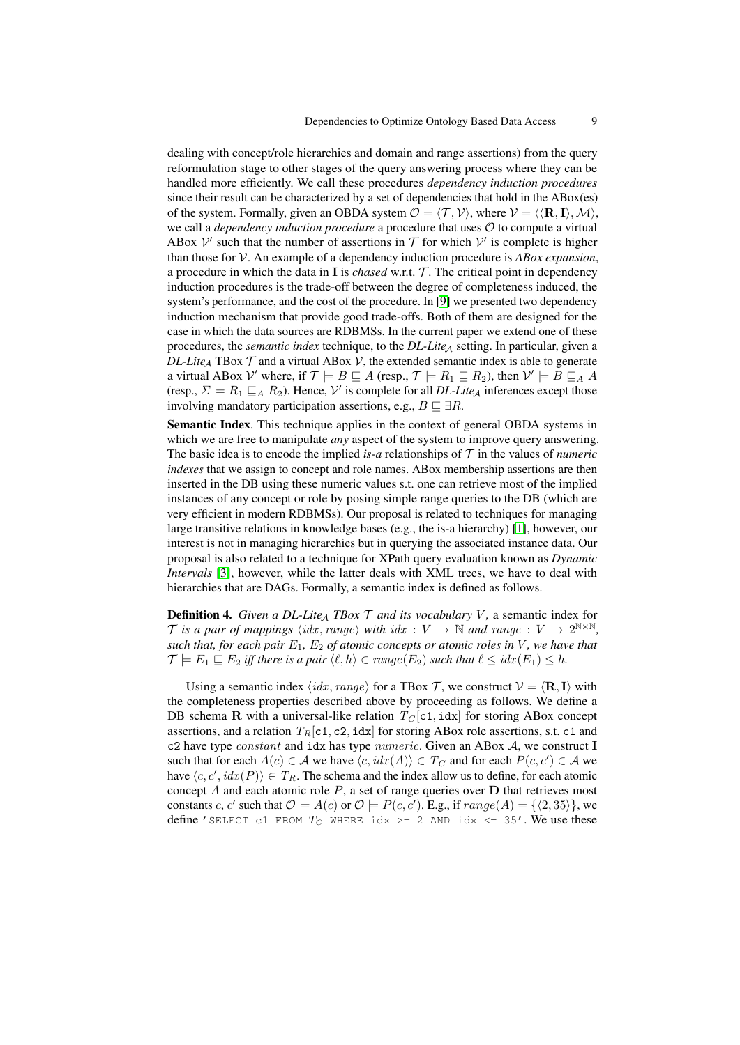dealing with concept/role hierarchies and domain and range assertions) from the query reformulation stage to other stages of the query answering process where they can be handled more efficiently. We call these procedures *dependency induction procedures* since their result can be characterized by a set of dependencies that hold in the ABox(es) of the system. Formally, given an OBDA system  $\mathcal{O} = \langle \mathcal{T}, \mathcal{V} \rangle$ , where  $\mathcal{V} = \langle \langle \mathbf{R}, \mathbf{I} \rangle, \mathcal{M} \rangle$ , we call a *dependency induction procedure* a procedure that uses O to compute a virtual ABox  $V'$  such that the number of assertions in  $T$  for which  $V'$  is complete is higher than those for V. An example of a dependency induction procedure is *ABox expansion*, a procedure in which the data in  $\bf{I}$  is *chased* w.r.t.  $\mathcal{T}$ . The critical point in dependency induction procedures is the trade-off between the degree of completeness induced, the system's performance, and the cost of the procedure. In [\[9\]](#page-10-0) we presented two dependency induction mechanism that provide good trade-offs. Both of them are designed for the case in which the data sources are RDBMSs. In the current paper we extend one of these procedures, the *semantic index* technique, to the *DL-Lite<sub>A</sub>* setting. In particular, given a *DL-Lite<sub>A</sub>* TBox  $\mathcal T$  and a virtual ABox  $\mathcal V$ , the extended semantic index is able to generate a virtual ABox  $\mathcal{V}'$  where, if  $\mathcal{T} \models B \sqsubseteq A$  (resp.,  $\mathcal{T} \models R_1 \sqsubseteq R_2$ ), then  $\mathcal{V}' \models B \sqsubseteq_A A$ (resp.,  $\Sigma \models R_1 \sqsubseteq_A R_2$ ). Hence,  $\mathcal{V}'$  is complete for all *DL-Lite*<sub>A</sub> inferences except those involving mandatory participation assertions, e.g.,  $B \sqsubseteq \exists R$ .

Semantic Index. This technique applies in the context of general OBDA systems in which we are free to manipulate *any* aspect of the system to improve query answering. The basic idea is to encode the implied *is-a* relationships of  $T$  in the values of *numeric indexes* that we assign to concept and role names. ABox membership assertions are then inserted in the DB using these numeric values s.t. one can retrieve most of the implied instances of any concept or role by posing simple range queries to the DB (which are very efficient in modern RDBMSs). Our proposal is related to techniques for managing large transitive relations in knowledge bases (e.g., the is-a hierarchy) [\[1\]](#page-10-8), however, our interest is not in managing hierarchies but in querying the associated instance data. Our proposal is also related to a technique for XPath query evaluation known as *Dynamic Intervals* [\[3\]](#page-10-9), however, while the latter deals with XML trees, we have to deal with hierarchies that are DAGs. Formally, a semantic index is defined as follows.

**Definition 4.** *Given a DL-Lite<sub>A</sub> TBox*  $\mathcal T$  *and its vocabulary*  $V$ , a semantic index for T is a pair of mappings  $\langle idx, range \rangle$  with  $idx : V \rightarrow \mathbb{N}$  and range :  $V \rightarrow 2^{\mathbb{N} \times \mathbb{N}}$ , *such that, for each pair*  $E_1$ ,  $E_2$  *of atomic concepts or atomic roles in*  $V$ *, we have that*  $\mathcal{T} \models E_1 \sqsubseteq E_2$  *iff there is a pair*  $\langle \ell, h \rangle \in range(E_2)$  *such that*  $\ell \leq idx(E_1) \leq h$ .

Using a semantic index  $\langle idx, range \rangle$  for a TBox T, we construct  $V = \langle \mathbf{R}, \mathbf{I} \rangle$  with the completeness properties described above by proceeding as follows. We define a DB schema R with a universal-like relation  $T_C[c1, idx]$  for storing ABox concept assertions, and a relation  $T_R[c1, c2, idx]$  for storing ABox role assertions, s.t. c1 and c2 have type  $constant$  and idx has type  $numeric$ . Given an ABox  $A$ , we construct I such that for each  $A(c) \in \mathcal{A}$  we have  $\langle c, \textit{idx}(A) \rangle \in T_C$  and for each  $P(c, c') \in \mathcal{A}$  we have  $\langle c, c', idx(P) \rangle \in T_R$ . The schema and the index allow us to define, for each atomic concept  $A$  and each atomic role  $P$ , a set of range queries over  $D$  that retrieves most constants c, c' such that  $\mathcal{O} \models A(c)$  or  $\mathcal{O} \models P(c, c')$ . E.g., if  $range(A) = \{ \langle 2, 35 \rangle \}$ , we define 'SELECT c1 FROM  $T_C$  WHERE idx >= 2 AND idx <= 35'. We use these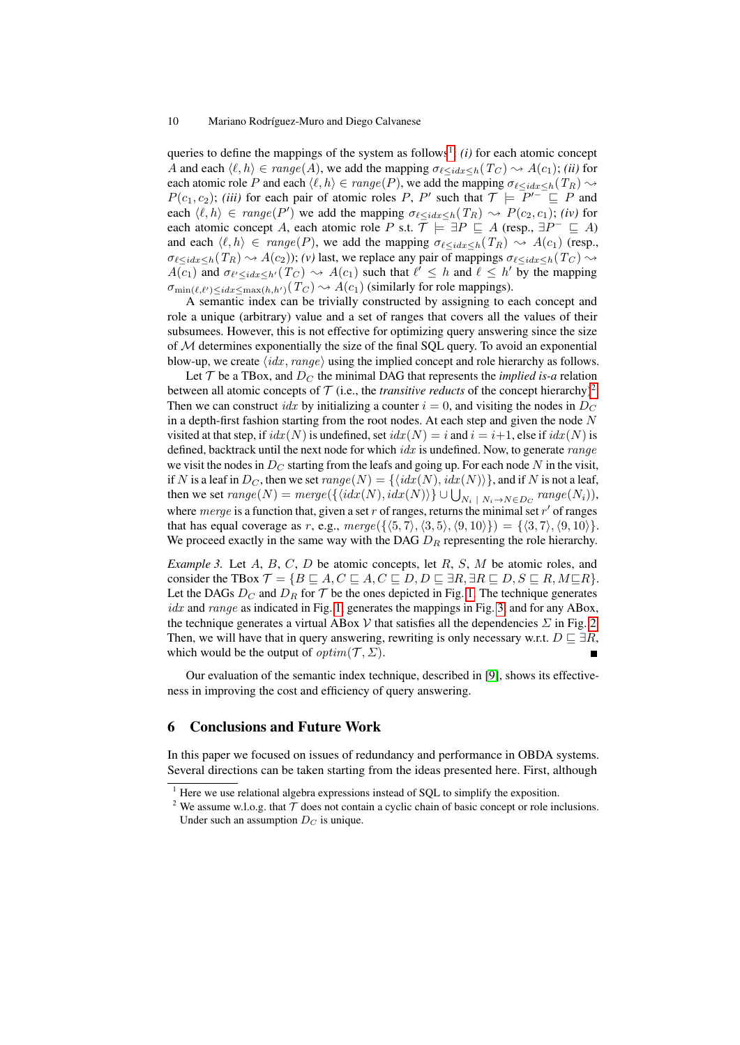#### 10 Mariano Rodríguez-Muro and Diego Calvanese

queries to define the mappings of the system as follows<sup>[1](#page-9-1)</sup>: (*i*) for each atomic concept A and each  $\langle \ell, h \rangle \in range(A)$ , we add the mapping  $\sigma_{\ell \leq idx \leq h}(T_C) \sim A(c_1);$  *(ii)* for each atomic role P and each  $\langle \ell, h \rangle \in range(P)$ , we add the mapping  $\sigma_{\ell \leq idx \leq h}(T_R) \rightarrow$  $P(c_1, c_2)$ ; *(iii)* for each pair of atomic roles P, P' such that  $\mathcal{T} \models P'^{-} \sqsubseteq P$  and each  $\langle \ell, h \rangle \in range(P')$  we add the mapping  $\sigma_{\ell \leq idx \leq h}(T_R) \sim P(c_2, c_1)$ ; *(iv)* for each atomic concept A, each atomic role P s.t.  $\overline{\mathcal{T}} \models \exists P \sqsubseteq A$  (resp.,  $\exists P^- \sqsubseteq A$ ) and each  $\langle \ell, h \rangle \in range(P)$ , we add the mapping  $\sigma_{\ell \leq idx \leq h}(T_R) \sim A(c_1)$  (resp.,  $\sigma_{\ell \leq idx \leq h}(T_R) \rightsquigarrow A(c_2)$ ; *(v)* last, we replace any pair of mappings  $\sigma_{\ell \leq idx \leq h}(T_C) \rightsquigarrow$  $A(c_1)$  and  $\sigma_{\ell'} \leq idx \leq h'}(T_C) \rightsquigarrow A(c_1)$  such that  $\ell' \leq h$  and  $\ell \leq h'$  by the mapping  $\sigma_{\min(\ell,\ell')\leq idx\leq \max(h,h')}(T_C) \rightsquigarrow A(c_1)$  (similarly for role mappings).

A semantic index can be trivially constructed by assigning to each concept and role a unique (arbitrary) value and a set of ranges that covers all the values of their subsumees. However, this is not effective for optimizing query answering since the size of M determines exponentially the size of the final SQL query. To avoid an exponential blow-up, we create  $\langle i dx, range \rangle$  using the implied concept and role hierarchy as follows.

Let  $T$  be a TBox, and  $D<sub>C</sub>$  the minimal DAG that represents the *implied is-a* relation between all atomic concepts of  $T$  (i.e., the *transitive reducts* of the concept hierarchy)<sup>[2](#page-9-2)</sup>. Then we can construct *idx* by initializing a counter  $i = 0$ , and visiting the nodes in  $D<sub>C</sub>$ in a depth-first fashion starting from the root nodes. At each step and given the node  $N$ visited at that step, if  $idx(N)$  is undefined, set  $idx(N) = i$  and  $i = i+1$ , else if  $idx(N)$  is defined, backtrack until the next node for which  $idx$  is undefined. Now, to generate  $range$ we visit the nodes in  $D<sub>C</sub>$  starting from the leafs and going up. For each node N in the visit, if N is a leaf in  $D_C$ , then we set  $range(N) = \{\langle idx(N), idx(N)\rangle\}$ , and if N is not a leaf, then we set  $range(N) = merge(\{\langle idx(N), idx(N)\rangle\} \cup \bigcup_{N_i \mid N_i \rightarrow N \in D_C} range(N_i)),$ where merge is a function that, given a set  $r$  of ranges, returns the minimal set  $r'$  of ranges that has equal coverage as r, e.g.,  $merge({\{(5, 7), (3, 5), (9, 10)\}}) = {\{(3, 7), (9, 10)\}}.$ We proceed exactly in the same way with the DAG  $D_R$  representing the role hierarchy.

*Example 3.* Let A, B, C, D be atomic concepts, let R, S, M be atomic roles, and consider the TBox  $\mathcal{T} = \{B \sqsubseteq A, C \sqsubseteq A, C \sqsubseteq D, D \sqsubseteq \exists R, \exists R \sqsubseteq D, S \sqsubseteq R, M \sqsubseteq R\}.$ Let the DAGs  $D_C$  and  $D_R$  for  $\mathcal T$  be the ones depicted in Fig. [1.](#page-10-10) The technique generates  $idx$  and range as indicated in Fig. [1,](#page-10-10) generates the mappings in Fig. [3,](#page-10-11) and for any ABox, the technique generates a virtual ABox V that satisfies all the dependencies  $\Sigma$  in Fig. [2.](#page-10-12) Then, we will have that in query answering, rewriting is only necessary w.r.t.  $D \sqsubseteq \exists R$ , which would be the output of  $\text{optim}(\mathcal{T}, \Sigma)$ .

Our evaluation of the semantic index technique, described in [\[9\]](#page-10-0), shows its effectiveness in improving the cost and efficiency of query answering.

#### <span id="page-9-0"></span>6 Conclusions and Future Work

In this paper we focused on issues of redundancy and performance in OBDA systems. Several directions can be taken starting from the ideas presented here. First, although

<span id="page-9-1"></span> $1$  Here we use relational algebra expressions instead of SQL to simplify the exposition.

<span id="page-9-2"></span><sup>&</sup>lt;sup>2</sup> We assume w.l.o.g. that  $\mathcal T$  does not contain a cyclic chain of basic concept or role inclusions. Under such an assumption  $D<sub>C</sub>$  is unique.